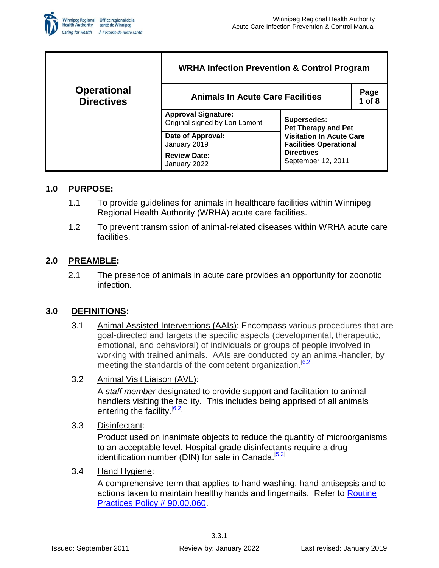

|                                         | <b>WRHA Infection Prevention &amp; Control Program</b>       |                                                                                                                                                          |                    |  |
|-----------------------------------------|--------------------------------------------------------------|----------------------------------------------------------------------------------------------------------------------------------------------------------|--------------------|--|
| <b>Operational</b><br><b>Directives</b> | <b>Animals In Acute Care Facilities</b>                      |                                                                                                                                                          | Page<br>$1$ of $8$ |  |
|                                         | <b>Approval Signature:</b><br>Original signed by Lori Lamont | Supersedes:<br><b>Pet Therapy and Pet</b><br><b>Visitation In Acute Care</b><br><b>Facilities Operational</b><br><b>Directives</b><br>September 12, 2011 |                    |  |
|                                         | Date of Approval:<br>January 2019                            |                                                                                                                                                          |                    |  |
|                                         | <b>Review Date:</b><br>January 2022                          |                                                                                                                                                          |                    |  |

## **1.0 PURPOSE:**

- 1.1 To provide guidelines for animals in healthcare facilities within Winnipeg Regional Health Authority (WRHA) acute care facilities.
- 1.2 To prevent transmission of animal-related diseases within WRHA acute care facilities.

# **2.0 PREAMBLE:**

2.1 The presence of animals in acute care provides an opportunity for zoonotic infection.

## **3.0 DEFINITIONS:**

- 3.1 Animal Assisted Interventions (AAIs): Encompass various procedures that are goal-directed and targets the specific aspects (developmental, therapeutic, emotional, and behavioral) of individuals or groups of people involved in working with trained animals. AAIs are conducted by an animal-handler, by meeting the standards of the competent organization.<sup>[\[6.2\]](#page-5-0)</sup>
- 3.2 Animal Visit Liaison (AVL):

A *staff member* designated to provide support and facilitation to animal handlers visiting the facility. This includes being apprised of all animals entering the facility.<sup>[\[6.2\]](#page-5-0)</sup>

3.3 Disinfectant:

Product used on inanimate objects to reduce the quantity of microorganisms to an acceptable level. Hospital-grade disinfectants require a drug identification number (DIN) for sale in Canada.<sup>[\[5.2\]](#page-5-1)</sup>

3.4 Hand Hygiene:

A comprehensive term that applies to hand washing, hand antisepsis and to actions taken to maintain healthy hands and fingernails. Refer to Routine [Practices Policy # 90.00.060.](http://home.wrha.mb.ca/corp/policy/files/90.00.060.pdf)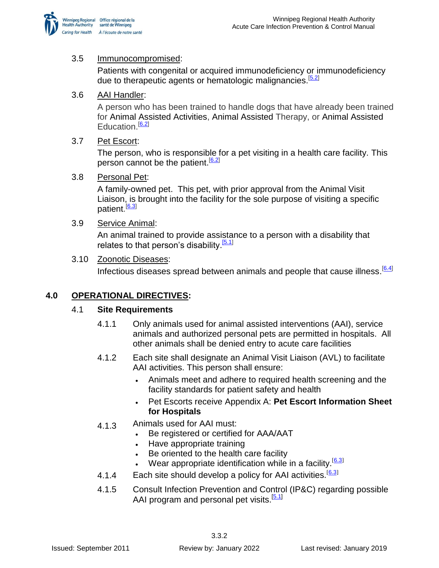

### 3.5 Immunocompromised:

Patients with congenital or acquired immunodeficiency or immunodeficiency due to therapeutic agents or hematologic malignancies. [\[5.2\]](#page-5-1)

### 3.6 AAI Handler:

A person who has been trained to handle dogs that have already been trained for Animal Assisted Activities, Animal Assisted Therapy, or Animal Assisted Education.<sup>[\[6.2\]](#page-5-0)</sup>

#### 3.7 Pet Escort:

The person, who is responsible for a pet visiting in a health care facility. This person cannot be the patient.<sup>[\[6.2\]](#page-5-0)</sup>

#### 3.8 Personal Pet:

A family-owned pet. This pet, with prior approval from the Animal Visit Liaison, is brought into the facility for the sole purpose of visiting a specific patient.<sup>[\[6.3\]](#page-5-2)</sup>

#### 3.9 Service Animal:

An animal trained to provide assistance to a person with a disability that relates to that person's disability.<sup>[\[5.1\]](#page-5-3)</sup>

#### 3.10 Zoonotic Diseases:

Infectious diseases spread between animals and people that cause illness.<sup>[\[6.4\]](#page-5-4)</sup>

# **4.0 OPERATIONAL DIRECTIVES:**

## 4.1 **Site Requirements**

- 4.1.1 Only animals used for animal assisted interventions (AAI), service animals and authorized personal pets are permitted in hospitals. All other animals shall be denied entry to acute care facilities
- 4.1.2 Each site shall designate an Animal Visit Liaison (AVL) to facilitate AAI activities. This person shall ensure:
	- Animals meet and adhere to required health screening and the facility standards for patient safety and health
	- Pet Escorts receive Appendix A: **Pet Escort Information Sheet for Hospitals**
- 4.1.3 Animals used for AAI must:
	- Be registered or certified for AAA/AAT
	- Have appropriate training
	- Be oriented to the health care facility
	- Wear appropriate identification while in a facility.<sup>[[6.3](#page-5-2)]</sup>
- 4.1.4 Each site should develop a policy for AAI activities.<sup>[[6.3](#page-5-2)]</sup>
- 4.1.5 Consult Infection Prevention and Control (IP&C) regarding possible AAI program and personal pet visits.<sup>[\[5.1\]](#page-5-3)</sup>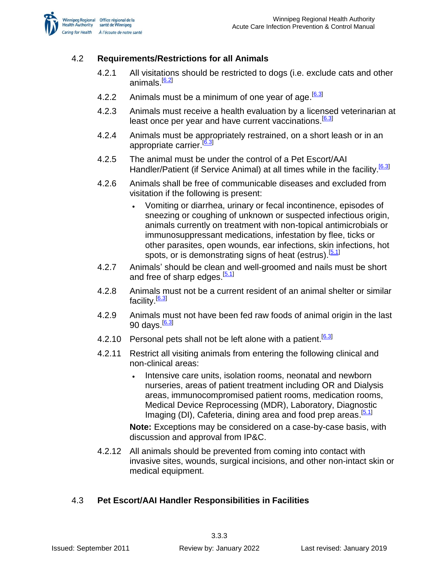

# 4.2 **Requirements/Restrictions for all Animals**

- 4.2.1 All visitations should be restricted to dogs (i.e. exclude cats and other animals.<sup>[\[6.2\]](#page-5-0)</sup>
- 4.2.2 Animals must be a minimum of one year of age. <sup>[\[6.3\]](#page-5-2)</sup>
- 4.2.3 Animals must receive a health evaluation by a licensed veterinarian at least once per year and have current vaccinations.<sup>[\[6.3\]](#page-5-2)</sup>
- 4.2.4 Animals must be appropriately restrained, on a short leash or in an appropriate carrier.<sup>[\[6.3\]](#page-5-2)</sup>
- 4.2.5 The animal must be under the control of a Pet Escort/AAI Handler/Patient (if Service Animal) at all times while in the facility.<sup>[\[6.3\]](#page-5-2)</sup>
- 4.2.6 Animals shall be free of communicable diseases and excluded from visitation if the following is present:
	- Vomiting or diarrhea, urinary or fecal incontinence, episodes of sneezing or coughing of unknown or suspected infectious origin, animals currently on treatment with non-topical antimicrobials or immunosuppressant medications, infestation by flee, ticks or other parasites, open wounds, ear infections, skin infections, hot spots, or is demonstrating signs of heat (estrus).<sup>[\[5.1\]](#page-5-3)</sup>
- 4.2.7 Animals' should be clean and well-groomed and nails must be short and free of sharp edges.<sup>[\[5.1\]](#page-5-3)</sup>
- 4.2.8 Animals must not be a current resident of an animal shelter or similar facility.<sup>[<u>6.3</u>]</sup>
- 4.2.9 Animals must not have been fed raw foods of animal origin in the last 90 days.<sup>[\[6.3\]](#page-5-2)</sup>
- 4.2.10 Personal pets shall not be left alone with a patient.<sup>[\[6.3\]](#page-5-2)</sup>
- 4.2.11 Restrict all visiting animals from entering the following clinical and non-clinical areas:
	- Intensive care units, isolation rooms, neonatal and newborn nurseries, areas of patient treatment including OR and Dialysis areas, immunocompromised patient rooms, medication rooms, Medical Device Reprocessing (MDR), Laboratory, Diagnostic Imaging (DI), Cafeteria, dining area and food prep areas.<sup>[5.1]</sup>

**Note:** Exceptions may be considered on a case-by-case basis, with discussion and approval from IP&C.

4.2.12 All animals should be prevented from coming into contact with invasive sites, wounds, surgical incisions, and other non-intact skin or medical equipment.

# 4.3 **Pet Escort/AAI Handler Responsibilities in Facilities**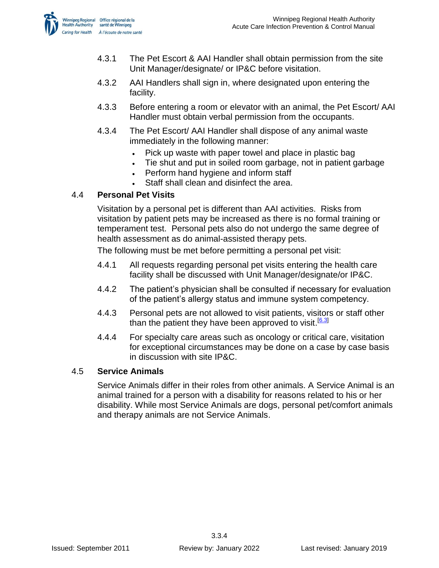

- 4.3.1 The Pet Escort & AAI Handler shall obtain permission from the site Unit Manager/designate/ or IP&C before visitation.
- 4.3.2 AAI Handlers shall sign in, where designated upon entering the facility.
- 4.3.3 Before entering a room or elevator with an animal, the Pet Escort/ AAI Handler must obtain verbal permission from the occupants.
- 4.3.4 The Pet Escort/ AAI Handler shall dispose of any animal waste immediately in the following manner:
	- Pick up waste with paper towel and place in plastic bag
	- Tie shut and put in soiled room garbage, not in patient garbage
	- Perform hand hygiene and inform staff
	- Staff shall clean and disinfect the area.

## 4.4 **Personal Pet Visits**

Visitation by a personal pet is different than AAI activities. Risks from visitation by patient pets may be increased as there is no formal training or temperament test. Personal pets also do not undergo the same degree of health assessment as do animal-assisted therapy pets.

The following must be met before permitting a personal pet visit:

- 4.4.1 All requests regarding personal pet visits entering the health care facility shall be discussed with Unit Manager/designate/or IP&C.
- 4.4.2 The patient's physician shall be consulted if necessary for evaluation of the patient's allergy status and immune system competency.
- 4.4.3 Personal pets are not allowed to visit patients, visitors or staff other than the patient they have been approved to visit.<sup>[\[6.3\]](#page-5-2)</sup>
- 4.4.4 For specialty care areas such as oncology or critical care, visitation for exceptional circumstances may be done on a case by case basis in discussion with site IP&C.

# 4.5 **Service Animals**

Service Animals differ in their roles from other animals. A Service Animal is an animal trained for a person with a disability for reasons related to his or her disability. While most Service Animals are dogs, personal pet/comfort animals and therapy animals are not Service Animals.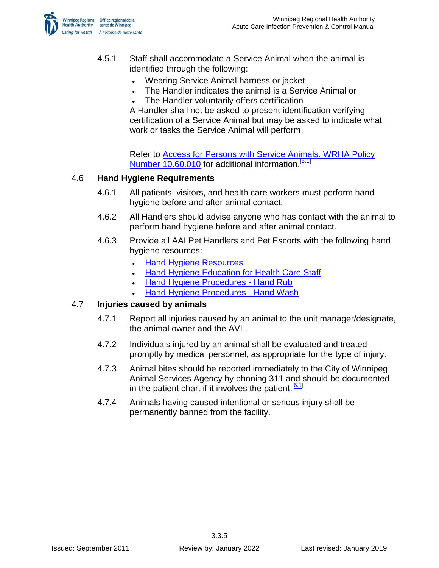

- 4.5.1 Staff shall accommodate a Service Animal when the animal is identified through the following:
	- Wearing Service Animal harness or jacket
	- The Handler indicates the animal is a Service Animal or
	- The Handler voluntarily offers certification

A Handler shall not be asked to present identification verifying certification of a Service Animal but may be asked to indicate what work or tasks the Service Animal will perform.

Refer to [Access for Persons with Service Animals. WRHA Policy](http://www.wrha.mb.ca/about/policy/files/10.60.010.pdf)  [Number 10.60.010](http://www.wrha.mb.ca/about/policy/files/10.60.010.pdf) for additional information.<sup>[\[5.1\]](#page-5-3)</sup>

#### 4.6 **Hand Hygiene Requirements**

- 4.6.1 All patients, visitors, and health care workers must perform hand hygiene before and after animal contact.
- 4.6.2 All Handlers should advise anyone who has contact with the animal to perform hand hygiene before and after animal contact.
- 4.6.3 Provide all AAI Pet Handlers and Pet Escorts with the following hand hygiene resources:
	- [Hand Hygiene Resources](http://www.wrha.mb.ca/extranet/ipc/hand-hygiene.php)
	- [Hand Hygiene Education for Health Care Staff](http://www.wrha.mb.ca/extranet/ipc/files/routine-practices/HH-InfoSheet.pdf)
	- [Hand Hygiene Procedures -](http://www.wrha.mb.ca/extranet/ipc/files/routine-practices/HH-Procedures-HandRub.pdf) Hand Rub
	- [Hand Hygiene Procedures -](http://www.wrha.mb.ca/extranet/ipc/files/routine-practices/HH-Procedures-HandWash.pdf) Hand Wash

#### 4.7 **Injuries caused by animals**

- 4.7.1 Report all injuries caused by an animal to the unit manager/designate, the animal owner and the AVL.
- 4.7.2 Individuals injured by an animal shall be evaluated and treated promptly by medical personnel, as appropriate for the type of injury.
- 4.7.3 Animal bites should be reported immediately to the City of Winnipeg Animal Services Agency by phoning 311 and should be documented in the patient chart if it involves the patient.<sup>[\[6.1\]](#page-5-5)</sup>
- 4.7.4 Animals having caused intentional or serious injury shall be permanently banned from the facility.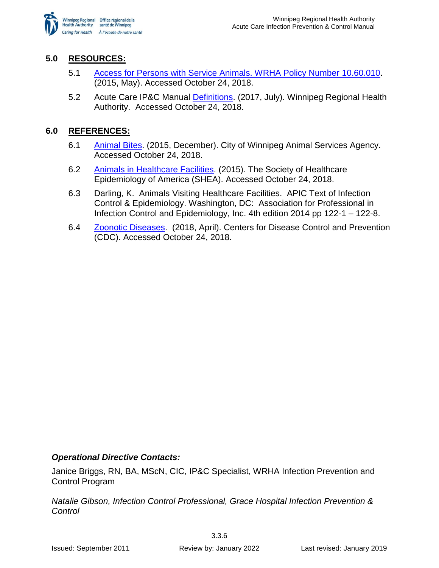

# **5.0 RESOURCES:**

- <span id="page-5-3"></span>5.1 [Access for Persons with Service Animals. WRHA Policy Number 10.60.010.](http://www.wrha.mb.ca/about/policy/files/10.60.010.pdf) (2015, May). Accessed October 24, 2018.
- <span id="page-5-1"></span>5.2 Acute Care IP&C Manual [Definitions.](http://www.wrha.mb.ca/extranet/ipc/files/manuals/acutecare/Definitions.pdf) (2017, July). Winnipeg Regional Health Authority. Accessed October 24, 2018.

## **6.0 REFERENCES:**

- <span id="page-5-5"></span>6.1 [Animal Bites.](https://winnipeg.ca/cms/animal/complaints/animal_bites.stm) (2015, December). City of Winnipeg Animal Services Agency. Accessed October 24, 2018.
- <span id="page-5-0"></span>6.2 [Animals in Healthcare Facilities.](http://eguideline.guidelinecentral.com/i/517746-animals-in-healthcare-facilities-shea/2) (2015). The Society of Healthcare Epidemiology of America (SHEA). Accessed October 24, 2018.
- <span id="page-5-2"></span>6.3 Darling, K. Animals Visiting Healthcare Facilities. APIC Text of Infection Control & Epidemiology. Washington, DC: Association for Professional in Infection Control and Epidemiology, Inc. 4th edition 2014 pp 122-1 – 122-8.
- <span id="page-5-4"></span>6.4 [Zoonotic Diseases.](https://www.cdc.gov/onehealth/basics/zoonotic-diseases.html) (2018, April). Centers for Disease Control and Prevention (CDC). Accessed October 24, 2018.

# *Operational Directive Contacts:*

Janice Briggs, RN, BA, MScN, CIC, IP&C Specialist, WRHA Infection Prevention and Control Program

*Natalie Gibson, Infection Control Professional, Grace Hospital Infection Prevention & Control*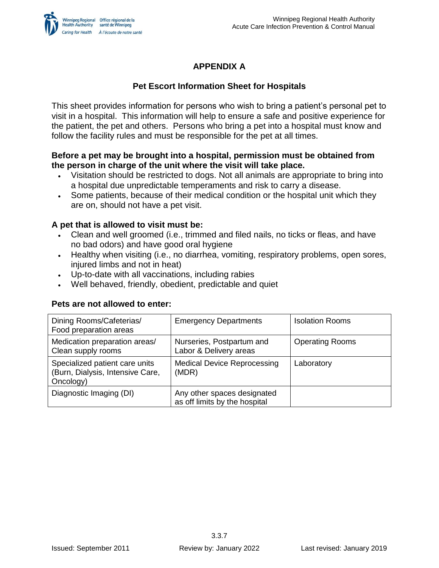

# **APPENDIX A**

# **Pet Escort Information Sheet for Hospitals**

This sheet provides information for persons who wish to bring a patient's personal pet to visit in a hospital. This information will help to ensure a safe and positive experience for the patient, the pet and others. Persons who bring a pet into a hospital must know and follow the facility rules and must be responsible for the pet at all times.

## **Before a pet may be brought into a hospital, permission must be obtained from the person in charge of the unit where the visit will take place.**

- Visitation should be restricted to dogs. Not all animals are appropriate to bring into a hospital due unpredictable temperaments and risk to carry a disease.
- Some patients, because of their medical condition or the hospital unit which they are on, should not have a pet visit.

# **A pet that is allowed to visit must be:**

- Clean and well groomed (i.e., trimmed and filed nails, no ticks or fleas, and have no bad odors) and have good oral hygiene
- Healthy when visiting (i.e., no diarrhea, vomiting, respiratory problems, open sores, injured limbs and not in heat)
- Up-to-date with all vaccinations, including rabies
- Well behaved, friendly, obedient, predictable and quiet

## **Pets are not allowed to enter:**

| Dining Rooms/Cafeterias/<br>Food preparation areas                              | <b>Emergency Departments</b>                                 | <b>Isolation Rooms</b> |
|---------------------------------------------------------------------------------|--------------------------------------------------------------|------------------------|
| Medication preparation areas/<br>Clean supply rooms                             | Nurseries, Postpartum and<br>Labor & Delivery areas          | <b>Operating Rooms</b> |
| Specialized patient care units<br>(Burn, Dialysis, Intensive Care,<br>Oncology) | <b>Medical Device Reprocessing</b><br>(MDR)                  | Laboratory             |
| Diagnostic Imaging (DI)                                                         | Any other spaces designated<br>as off limits by the hospital |                        |